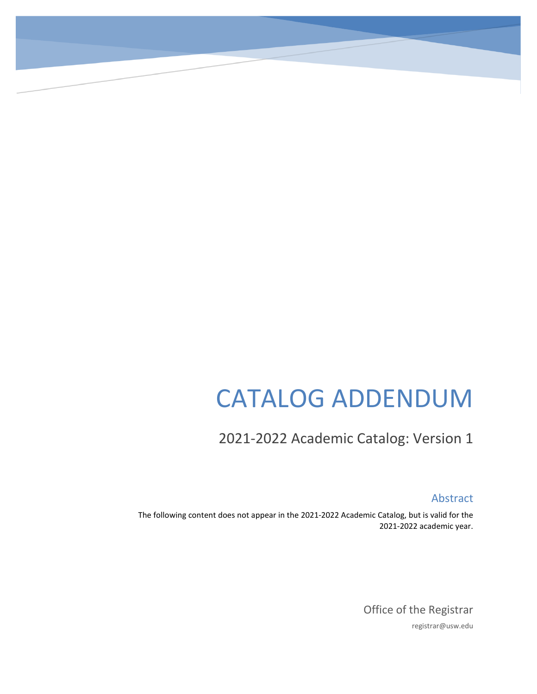# CATALOG ADDENDUM

2021-2022 Academic Catalog: Version 1

Abstract

The following content does not appear in the 2021-2022 Academic Catalog, but is valid for the 2021-2022 academic year.

> Office of the Registrar registrar@usw.edu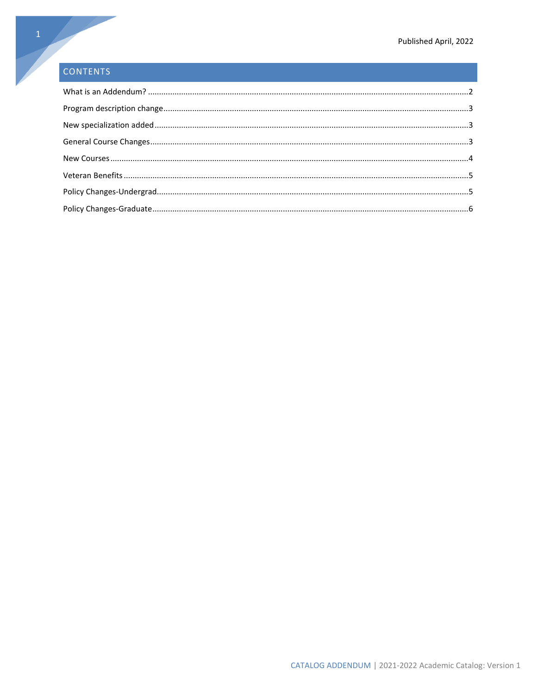# CONTENTS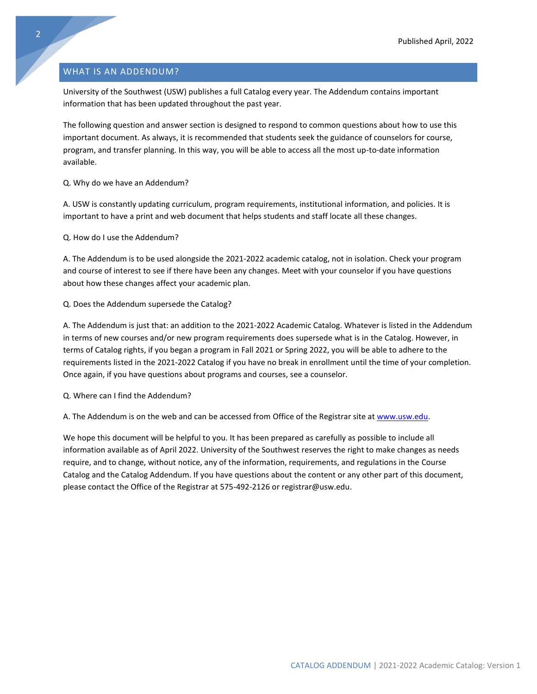# <span id="page-2-0"></span>WHAT IS AN ADDENDUM?

University of the Southwest (USW) publishes a full Catalog every year. The Addendum contains important information that has been updated throughout the past year.

The following question and answer section is designed to respond to common questions about how to use this important document. As always, it is recommended that students seek the guidance of counselors for course, program, and transfer planning. In this way, you will be able to access all the most up-to-date information available.

Q. Why do we have an Addendum?

A. USW is constantly updating curriculum, program requirements, institutional information, and policies. It is important to have a print and web document that helps students and staff locate all these changes.

Q. How do I use the Addendum?

A. The Addendum is to be used alongside the 2021-2022 academic catalog, not in isolation. Check your program and course of interest to see if there have been any changes. Meet with your counselor if you have questions about how these changes affect your academic plan.

#### Q. Does the Addendum supersede the Catalog?

A. The Addendum is just that: an addition to the 2021-2022 Academic Catalog. Whatever is listed in the Addendum in terms of new courses and/or new program requirements does supersede what is in the Catalog. However, in terms of Catalog rights, if you began a program in Fall 2021 or Spring 2022, you will be able to adhere to the requirements listed in the 2021-2022 Catalog if you have no break in enrollment until the time of your completion. Once again, if you have questions about programs and courses, see a counselor.

Q. Where can I find the Addendum?

A. The Addendum is on the web and can be accessed from Office of the Registrar site at [www.usw.edu.](http://www.usw.edu/)

We hope this document will be helpful to you. It has been prepared as carefully as possible to include all information available as of April 2022. University of the Southwest reserves the right to make changes as needs require, and to change, without notice, any of the information, requirements, and regulations in the Course Catalog and the Catalog Addendum. If you have questions about the content or any other part of this document, please contact the Office of the Registrar at 575-492-2126 or registrar@usw.edu.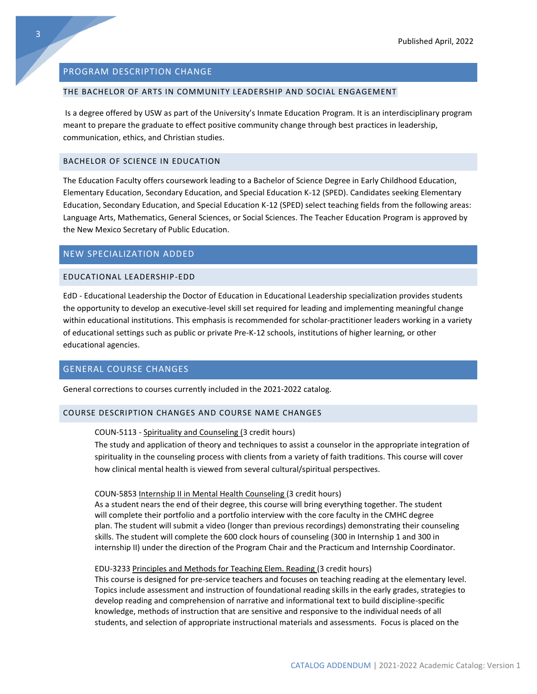#### <span id="page-3-0"></span>PROGRAM DESCRIPTION CHANGE

# THE BACHELOR OF ARTS IN COMMUNITY LEADERSHIP AND SOCIAL ENGAGEMENT

Is a degree offered by USW as part of the University's Inmate Education Program. It is an interdisciplinary program meant to prepare the graduate to effect positive community change through best practices in leadership, communication, ethics, and Christian studies.

#### BACHELOR OF SCIENCE IN EDUCATION

The Education Faculty offers coursework leading to a Bachelor of Science Degree in Early Childhood Education, Elementary Education, Secondary Education, and Special Education K-12 (SPED). Candidates seeking Elementary Education, Secondary Education, and Special Education K-12 (SPED) select teaching fields from the following areas: Language Arts, Mathematics, General Sciences, or Social Sciences. The Teacher Education Program is approved by the New Mexico Secretary of Public Education.

#### <span id="page-3-1"></span>NEW SPECIALIZATION ADDED

#### EDUCATIONAL LEADERSHIP-EDD

EdD - Educational Leadership the Doctor of Education in Educational Leadership specialization provides students the opportunity to develop an executive-level skill set required for leading and implementing meaningful change within educational institutions. This emphasis is recommended for scholar-practitioner leaders working in a variety of educational settings such as public or private Pre-K-12 schools, institutions of higher learning, or other educational agencies.

# <span id="page-3-2"></span>GENERAL COURSE CHANGES

General corrections to courses currently included in the 2021-2022 catalog.

#### COURSE DESCRIPTION CHANGES AND COURSE NAME CHANGES

#### COUN-5113 - Spirituality and Counseling (3 credit hours)

The study and application of theory and techniques to assist a counselor in the appropriate integration of spirituality in the counseling process with clients from a variety of faith traditions. This course will cover how clinical mental health is viewed from several cultural/spiritual perspectives.

#### COUN-5853 Internship II in Mental Health Counseling (3 credit hours)

As a student nears the end of their degree, this course will bring everything together. The student will complete their portfolio and a portfolio interview with the core faculty in the CMHC degree plan. The student will submit a video (longer than previous recordings) demonstrating their counseling skills. The student will complete the 600 clock hours of counseling (300 in Internship 1 and 300 in internship II) under the direction of the Program Chair and the Practicum and Internship Coordinator.

#### EDU-3233 Principles and Methods for Teaching Elem. Reading (3 credit hours)

This course is designed for pre-service teachers and focuses on teaching reading at the elementary level. Topics include assessment and instruction of foundational reading skills in the early grades, strategies to develop reading and comprehension of narrative and informational text to build discipline-specific knowledge, methods of instruction that are sensitive and responsive to the individual needs of all students, and selection of appropriate instructional materials and assessments. Focus is placed on the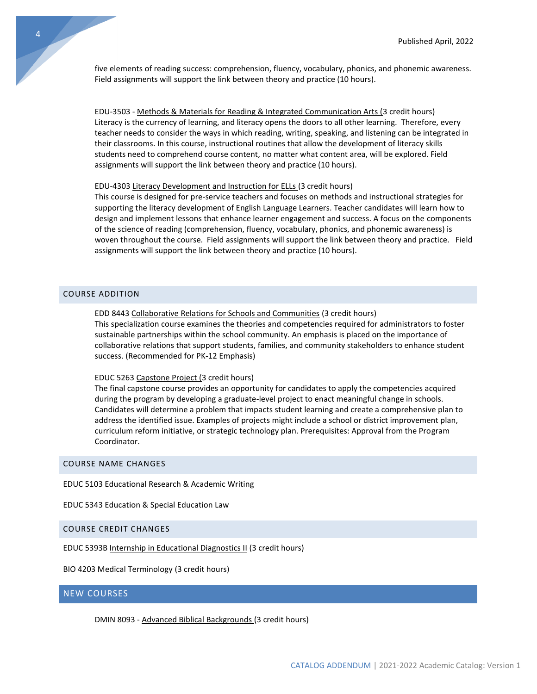five elements of reading success: comprehension, fluency, vocabulary, phonics, and phonemic awareness. Field assignments will support the link between theory and practice (10 hours).

EDU-3503 - Methods & Materials for Reading & Integrated Communication Arts (3 credit hours) Literacy is the currency of learning, and literacy opens the doors to all other learning. Therefore, every teacher needs to consider the ways in which reading, writing, speaking, and listening can be integrated in their classrooms. In this course, instructional routines that allow the development of literacy skills students need to comprehend course content, no matter what content area, will be explored. Field assignments will support the link between theory and practice (10 hours).

#### EDU-4303 Literacy Development and Instruction for ELLs (3 credit hours)

This course is designed for pre-service teachers and focuses on methods and instructional strategies for supporting the literacy development of English Language Learners. Teacher candidates will learn how to design and implement lessons that enhance learner engagement and success. A focus on the components of the science of reading (comprehension, fluency, vocabulary, phonics, and phonemic awareness) is woven throughout the course. Field assignments will support the link between theory and practice. Field assignments will support the link between theory and practice (10 hours).

# COURSE ADDITION

EDD 8443 Collaborative Relations for Schools and Communities (3 credit hours) This specialization course examines the theories and competencies required for administrators to foster sustainable partnerships within the school community. An emphasis is placed on the importance of collaborative relations that support students, families, and community stakeholders to enhance student success. (Recommended for PK-12 Emphasis)

#### EDUC 5263 Capstone Project (3 credit hours)

The final capstone course provides an opportunity for candidates to apply the competencies acquired during the program by developing a graduate-level project to enact meaningful change in schools. Candidates will determine a problem that impacts student learning and create a comprehensive plan to address the identified issue. Examples of projects might include a school or district improvement plan, curriculum reform initiative, or strategic technology plan. Prerequisites: Approval from the Program Coordinator.

#### COURSE NAME CHANGES

EDUC 5103 Educational Research & Academic Writing

EDUC 5343 Education & Special Education Law

#### COURSE CREDIT CHANGES

EDUC 5393B Internship in Educational Diagnostics II (3 credit hours)

BIO 4203 Medical Terminology (3 credit hours)

# <span id="page-4-0"></span>NEW COURSES

DMIN 8093 - Advanced Biblical Backgrounds (3 credit hours)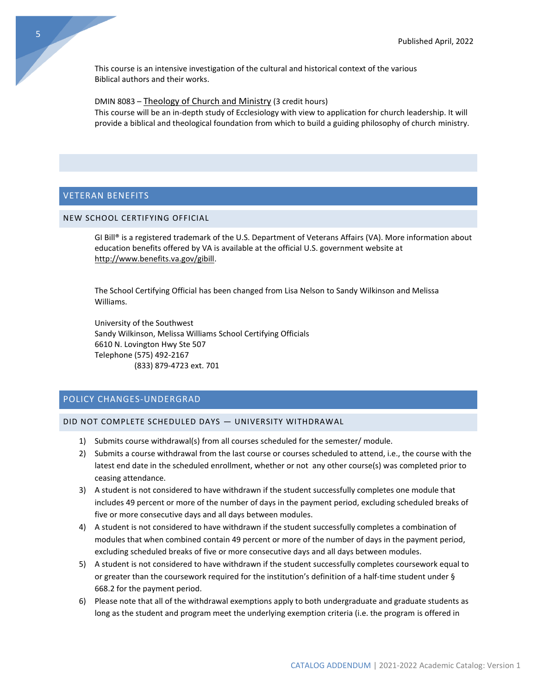This course is an intensive investigation of the cultural and historical context of the various Biblical authors and their works.

DMIN 8083 – Theology of Church and Ministry (3 credit hours)

This course will be an in-depth study of Ecclesiology with view to application for church leadership. It will provide a biblical and theological foundation from which to build a guiding philosophy of church ministry.

# <span id="page-5-0"></span>VETERAN BENEFITS

# NEW SCHOOL CERTIFYING OFFICIAL

GI Bill® is a registered trademark of the U.S. Department of Veterans Affairs (VA). More information about education benefits offered by VA is available at the official U.S. government website at [http://www.benefits.va.gov/gibill.](http://www.benefits.va.gov/gibill)

The School Certifying Official has been changed from Lisa Nelson to Sandy Wilkinson and Melissa Williams.

University of the Southwest Sandy Wilkinson, Melissa Williams School Certifying Officials 6610 N. Lovington Hwy Ste 507 Telephone (575) 492-2167 (833) 879-4723 ext. 701

# <span id="page-5-1"></span>POLICY CHANGES-UNDERGRAD

#### DID NOT COMPLETE SCHEDULED DAYS — UNIVERSITY WITHDRAWAL

- 1) Submits course withdrawal(s) from all courses scheduled for the semester/ module.
- 2) Submits a course withdrawal from the last course or courses scheduled to attend, i.e., the course with the latest end date in the scheduled enrollment, whether or not any other course(s) was completed prior to ceasing attendance.
- 3) A student is not considered to have withdrawn if the student successfully completes one module that includes 49 percent or more of the number of days in the payment period, excluding scheduled breaks of five or more consecutive days and all days between modules.
- 4) A student is not considered to have withdrawn if the student successfully completes a combination of modules that when combined contain 49 percent or more of the number of days in the payment period, excluding scheduled breaks of five or more consecutive days and all days between modules.
- 5) A student is not considered to have withdrawn if the student successfully completes coursework equal to or greater than the coursework required for the institution's definition of a half-time student under § 668.2 for the payment period.
- 6) Please note that all of the withdrawal exemptions apply to both undergraduate and graduate students as long as the student and program meet the underlying exemption criteria (i.e. the program is offered in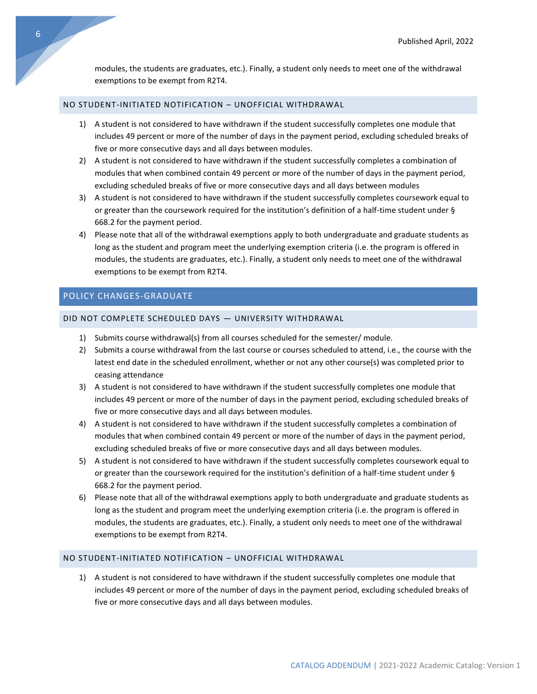modules, the students are graduates, etc.). Finally, a student only needs to meet one of the withdrawal exemptions to be exempt from R2T4.

# NO STUDENT-INITIATED NOTIFICATION – UNOFFICIAL WITHDRAWAL

- 1) A student is not considered to have withdrawn if the student successfully completes one module that includes 49 percent or more of the number of days in the payment period, excluding scheduled breaks of five or more consecutive days and all days between modules.
- 2) A student is not considered to have withdrawn if the student successfully completes a combination of modules that when combined contain 49 percent or more of the number of days in the payment period, excluding scheduled breaks of five or more consecutive days and all days between modules
- 3) A student is not considered to have withdrawn if the student successfully completes coursework equal to or greater than the coursework required for the institution's definition of a half-time student under § 668.2 for the payment period.
- 4) Please note that all of the withdrawal exemptions apply to both undergraduate and graduate students as long as the student and program meet the underlying exemption criteria (i.e. the program is offered in modules, the students are graduates, etc.). Finally, a student only needs to meet one of the withdrawal exemptions to be exempt from R2T4.

# <span id="page-6-0"></span>POLICY CHANGES-GRADUATE

# DID NOT COMPLETE SCHEDULED DAYS — UNIVERSITY WITHDRAWAL

- 1) Submits course withdrawal(s) from all courses scheduled for the semester/ module.
- 2) Submits a course withdrawal from the last course or courses scheduled to attend, i.e., the course with the latest end date in the scheduled enrollment, whether or not any other course(s) was completed prior to ceasing attendance
- 3) A student is not considered to have withdrawn if the student successfully completes one module that includes 49 percent or more of the number of days in the payment period, excluding scheduled breaks of five or more consecutive days and all days between modules.
- 4) A student is not considered to have withdrawn if the student successfully completes a combination of modules that when combined contain 49 percent or more of the number of days in the payment period, excluding scheduled breaks of five or more consecutive days and all days between modules.
- 5) A student is not considered to have withdrawn if the student successfully completes coursework equal to or greater than the coursework required for the institution's definition of a half-time student under § 668.2 for the payment period.
- 6) Please note that all of the withdrawal exemptions apply to both undergraduate and graduate students as long as the student and program meet the underlying exemption criteria (i.e. the program is offered in modules, the students are graduates, etc.). Finally, a student only needs to meet one of the withdrawal exemptions to be exempt from R2T4.

# NO STUDENT-INITIATED NOTIFICATION – UNOFFICIAL WITHDRAWAL

1) A student is not considered to have withdrawn if the student successfully completes one module that includes 49 percent or more of the number of days in the payment period, excluding scheduled breaks of five or more consecutive days and all days between modules.